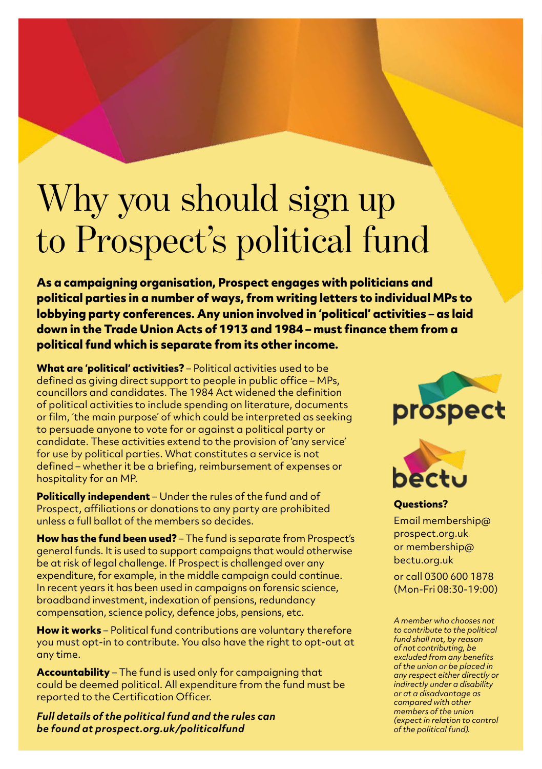## Why you should sign up to Prospect's political fund

**As a campaigning organisation, Prospect engages with politicians and political parties in a number of ways, from writing letters to individual MPs to lobbying party conferences. Any union involved in 'political' activities – as laid down in the Trade Union Acts of 1913 and 1984 – must finance them from a political fund which is separate from its other income.**

**What are 'political' activities?** – Political activities used to be defined as giving direct support to people in public office – MPs, councillors and candidates. The 1984 Act widened the definition of political activities to include spending on literature, documents or film, 'the main purpose' of which could be interpreted as seeking to persuade anyone to vote for or against a political party or candidate. These activities extend to the provision of 'any service' for use by political parties. What constitutes a service is not defined – whether it be a briefing, reimbursement of expenses or hospitality for an MP.

Prospect, affiliations or donations to any party are prohibited **Politically independent** – Under the rules of the fund and of unless a full ballot of the members so decides.

**How has the fund been used?** – The fund is separate from Prospect's general funds. It is used to support campaigns that would otherwise be at risk of legal challenge. If Prospect is challenged over any expenditure, for example, in the middle campaign could continue. In recent years it has been used in campaigns on forensic science, broadband investment, indexation of pensions, redundancy compensation, science policy, defence jobs, pensions, etc.

**How it works** – Political fund contributions are voluntary therefore you must opt-in to contribute. You also have the right to opt-out at any time.

**Accountability** – The fund is used only for campaigning that could be deemed political. All expenditure from the fund must be reported to the Certification Officer.

*Full details of the political fund and the rules can be found at prospect.org.uk/politicalfund*





**Questions?**  Email membership@ prospect.org.uk or membership@ bectu.org.uk

or call 0300 600 1878 (Mon-Fri 08:30-19:00)

*A member who chooses not to contribute to the political fund shall not, by reason of not contributing, be excluded from any benefits of the union or be placed in any respect either directly or indirectly under a disability or at a disadvantage as compared with other members of the union (expect in relation to control of the political fund).*